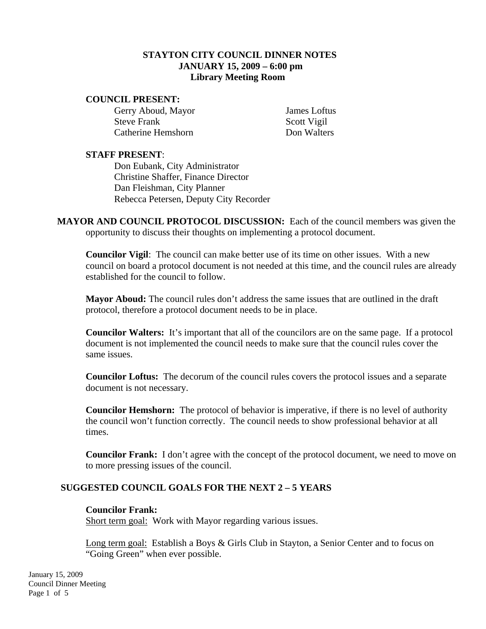# **STAYTON CITY COUNCIL DINNER NOTES JANUARY 15, 2009 – 6:00 pm Library Meeting Room**

#### **COUNCIL PRESENT:**

Gerry Aboud, Mayor James Loftus Steve Frank Scott Vigil Catherine Hemshorn Don Walters

### **STAFF PRESENT**:

Don Eubank, City Administrator Christine Shaffer, Finance Director Dan Fleishman, City Planner Rebecca Petersen, Deputy City Recorder

**MAYOR AND COUNCIL PROTOCOL DISCUSSION:** Each of the council members was given the opportunity to discuss their thoughts on implementing a protocol document.

**Councilor Vigil**: The council can make better use of its time on other issues. With a new council on board a protocol document is not needed at this time, and the council rules are already established for the council to follow.

**Mayor Aboud:** The council rules don't address the same issues that are outlined in the draft protocol, therefore a protocol document needs to be in place.

**Councilor Walters:** It's important that all of the councilors are on the same page. If a protocol document is not implemented the council needs to make sure that the council rules cover the same issues.

**Councilor Loftus:** The decorum of the council rules covers the protocol issues and a separate document is not necessary.

**Councilor Hemshorn:** The protocol of behavior is imperative, if there is no level of authority the council won't function correctly. The council needs to show professional behavior at all times.

**Councilor Frank:** I don't agree with the concept of the protocol document, we need to move on to more pressing issues of the council.

### **SUGGESTED COUNCIL GOALS FOR THE NEXT 2 – 5 YEARS**

### **Councilor Frank:**

Short term goal: Work with Mayor regarding various issues.

Long term goal: Establish a Boys & Girls Club in Stayton, a Senior Center and to focus on "Going Green" when ever possible.

January 15, 2009 Council Dinner Meeting Page 1 of 5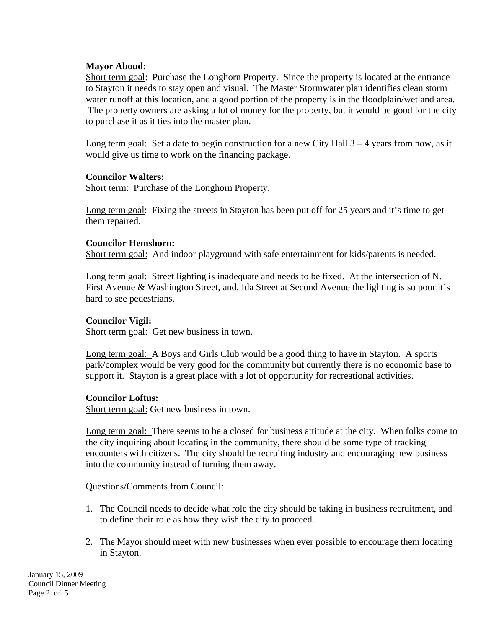# **Mayor Aboud:**

Short term goal: Purchase the Longhorn Property. Since the property is located at the entrance to Stayton it needs to stay open and visual. The Master Stormwater plan identifies clean storm water runoff at this location, and a good portion of the property is in the floodplain/wetland area. The property owners are asking a lot of money for the property, but it would be good for the city to purchase it as it ties into the master plan.

Long term goal: Set a date to begin construction for a new City Hall  $3 - 4$  years from now, as it would give us time to work on the financing package.

### **Councilor Walters:**

Short term: Purchase of the Longhorn Property.

Long term goal: Fixing the streets in Stayton has been put off for 25 years and it's time to get them repaired.

### **Councilor Hemshorn:**

Short term goal: And indoor playground with safe entertainment for kids/parents is needed.

Long term goal: Street lighting is inadequate and needs to be fixed. At the intersection of N. First Avenue & Washington Street, and, Ida Street at Second Avenue the lighting is so poor it's hard to see pedestrians.

### **Councilor Vigil:**

Short term goal: Get new business in town.

Long term goal: A Boys and Girls Club would be a good thing to have in Stayton. A sports park/complex would be very good for the community but currently there is no economic base to support it. Stayton is a great place with a lot of opportunity for recreational activities.

### **Councilor Loftus:**

Short term goal: Get new business in town.

Long term goal: There seems to be a closed for business attitude at the city. When folks come to the city inquiring about locating in the community, there should be some type of tracking encounters with citizens. The city should be recruiting industry and encouraging new business into the community instead of turning them away.

### Questions/Comments from Council:

- 1. The Council needs to decide what role the city should be taking in business recruitment, and to define their role as how they wish the city to proceed.
- 2. The Mayor should meet with new businesses when ever possible to encourage them locating in Stayton.

January 15, 2009 Council Dinner Meeting Page 2 of 5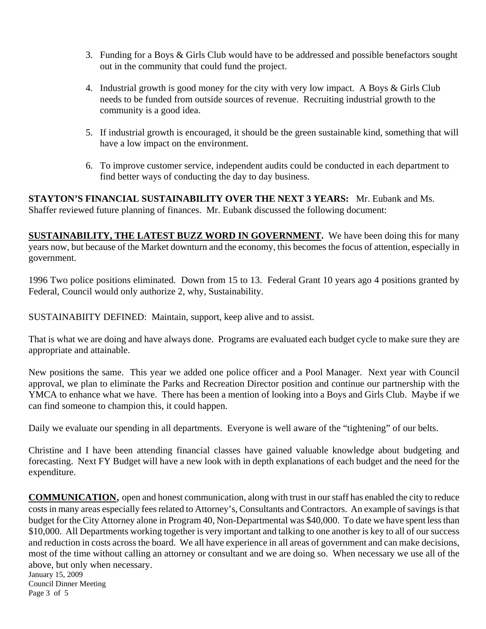- 3. Funding for a Boys & Girls Club would have to be addressed and possible benefactors sought out in the community that could fund the project.
- 4. Industrial growth is good money for the city with very low impact. A Boys & Girls Club needs to be funded from outside sources of revenue. Recruiting industrial growth to the community is a good idea.
- 5. If industrial growth is encouraged, it should be the green sustainable kind, something that will have a low impact on the environment.
- 6. To improve customer service, independent audits could be conducted in each department to find better ways of conducting the day to day business.

**STAYTON'S FINANCIAL SUSTAINABILITY OVER THE NEXT 3 YEARS:** Mr. Eubank and Ms. Shaffer reviewed future planning of finances. Mr. Eubank discussed the following document:

**SUSTAINABILITY, THE LATEST BUZZ WORD IN GOVERNMENT.** We have been doing this for many years now, but because of the Market downturn and the economy, this becomes the focus of attention, especially in government.

1996 Two police positions eliminated. Down from 15 to 13. Federal Grant 10 years ago 4 positions granted by Federal, Council would only authorize 2, why, Sustainability.

SUSTAINABIITY DEFINED: Maintain, support, keep alive and to assist.

That is what we are doing and have always done. Programs are evaluated each budget cycle to make sure they are appropriate and attainable.

New positions the same. This year we added one police officer and a Pool Manager. Next year with Council approval, we plan to eliminate the Parks and Recreation Director position and continue our partnership with the YMCA to enhance what we have. There has been a mention of looking into a Boys and Girls Club. Maybe if we can find someone to champion this, it could happen.

Daily we evaluate our spending in all departments. Everyone is well aware of the "tightening" of our belts.

Christine and I have been attending financial classes have gained valuable knowledge about budgeting and forecasting. Next FY Budget will have a new look with in depth explanations of each budget and the need for the expenditure.

January 15, 2009 **COMMUNICATION**, open and honest communication, along with trust in our staff has enabled the city to reduce costs in many areas especially fees related to Attorney's, Consultants and Contractors. An example of savings is that budget for the City Attorney alone in Program 40, Non-Departmental was \$40,000. To date we have spent less than \$10,000. All Departments working together is very important and talking to one another is key to all of our success and reduction in costs across the board. We all have experience in all areas of government and can make decisions, most of the time without calling an attorney or consultant and we are doing so. When necessary we use all of the above, but only when necessary.

Council Dinner Meeting Page 3 of 5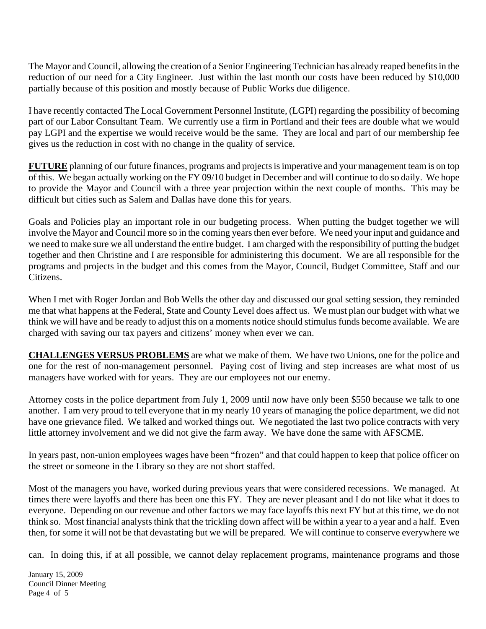The Mayor and Council, allowing the creation of a Senior Engineering Technician has already reaped benefits in the reduction of our need for a City Engineer. Just within the last month our costs have been reduced by \$10,000 partially because of this position and mostly because of Public Works due diligence.

I have recently contacted The Local Government Personnel Institute, (LGPI) regarding the possibility of becoming part of our Labor Consultant Team. We currently use a firm in Portland and their fees are double what we would pay LGPI and the expertise we would receive would be the same. They are local and part of our membership fee gives us the reduction in cost with no change in the quality of service.

**FUTURE** planning of our future finances, programs and projects is imperative and your management team is on top of this. We began actually working on the FY 09/10 budget in December and will continue to do so daily. We hope to provide the Mayor and Council with a three year projection within the next couple of months. This may be difficult but cities such as Salem and Dallas have done this for years.

Goals and Policies play an important role in our budgeting process. When putting the budget together we will involve the Mayor and Council more so in the coming years then ever before. We need your input and guidance and we need to make sure we all understand the entire budget. I am charged with the responsibility of putting the budget together and then Christine and I are responsible for administering this document. We are all responsible for the programs and projects in the budget and this comes from the Mayor, Council, Budget Committee, Staff and our Citizens.

When I met with Roger Jordan and Bob Wells the other day and discussed our goal setting session, they reminded me that what happens at the Federal, State and County Level does affect us. We must plan our budget with what we think we will have and be ready to adjust this on a moments notice should stimulus funds become available. We are charged with saving our tax payers and citizens' money when ever we can.

**CHALLENGES VERSUS PROBLEMS** are what we make of them. We have two Unions, one for the police and one for the rest of non-management personnel. Paying cost of living and step increases are what most of us managers have worked with for years. They are our employees not our enemy.

Attorney costs in the police department from July 1, 2009 until now have only been \$550 because we talk to one another. I am very proud to tell everyone that in my nearly 10 years of managing the police department, we did not have one grievance filed. We talked and worked things out. We negotiated the last two police contracts with very little attorney involvement and we did not give the farm away. We have done the same with AFSCME.

In years past, non-union employees wages have been "frozen" and that could happen to keep that police officer on the street or someone in the Library so they are not short staffed.

Most of the managers you have, worked during previous years that were considered recessions. We managed. At times there were layoffs and there has been one this FY. They are never pleasant and I do not like what it does to everyone. Depending on our revenue and other factors we may face layoffs this next FY but at this time, we do not think so. Most financial analysts think that the trickling down affect will be within a year to a year and a half. Even then, for some it will not be that devastating but we will be prepared. We will continue to conserve everywhere we

can. In doing this, if at all possible, we cannot delay replacement programs, maintenance programs and those

January 15, 2009 Council Dinner Meeting Page 4 of 5